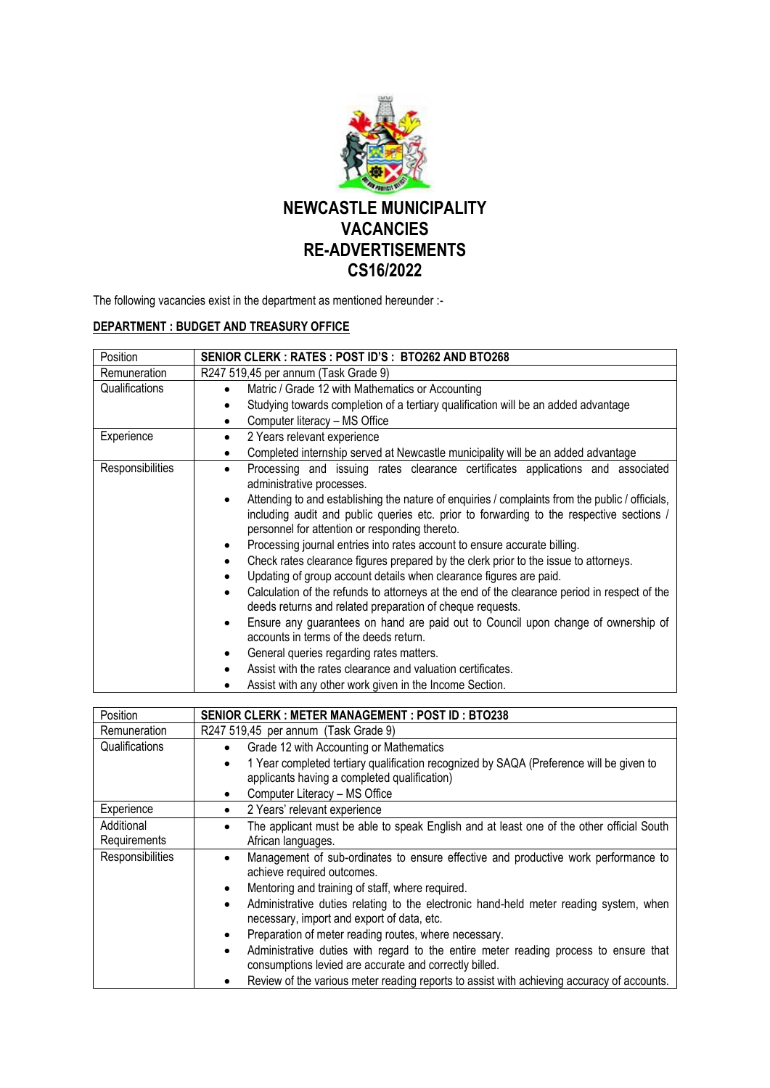

The following vacancies exist in the department as mentioned hereunder :-

## **DEPARTMENT : BUDGET AND TREASURY OFFICE**

| Position         | SENIOR CLERK: RATES: POST ID'S: BTO262 AND BTO268                                                                         |
|------------------|---------------------------------------------------------------------------------------------------------------------------|
| Remuneration     | R247 519,45 per annum (Task Grade 9)                                                                                      |
| Qualifications   | Matric / Grade 12 with Mathematics or Accounting<br>$\bullet$                                                             |
|                  | Studying towards completion of a tertiary qualification will be an added advantage                                        |
|                  | Computer literacy - MS Office<br>$\bullet$                                                                                |
| Experience       | 2 Years relevant experience<br>$\bullet$                                                                                  |
|                  | Completed internship served at Newcastle municipality will be an added advantage                                          |
| Responsibilities | Processing and issuing rates clearance certificates applications and associated<br>$\bullet$<br>administrative processes. |
|                  | Attending to and establishing the nature of enquiries / complaints from the public / officials,                           |
|                  | including audit and public queries etc. prior to forwarding to the respective sections /                                  |
|                  | personnel for attention or responding thereto.                                                                            |
|                  | Processing journal entries into rates account to ensure accurate billing.<br>$\bullet$                                    |
|                  | Check rates clearance figures prepared by the clerk prior to the issue to attorneys.                                      |
|                  | Updating of group account details when clearance figures are paid.                                                        |
|                  | Calculation of the refunds to attorneys at the end of the clearance period in respect of the                              |
|                  | deeds returns and related preparation of cheque requests.                                                                 |
|                  | Ensure any guarantees on hand are paid out to Council upon change of ownership of                                         |
|                  | accounts in terms of the deeds return.                                                                                    |
|                  | General queries regarding rates matters.                                                                                  |
|                  | Assist with the rates clearance and valuation certificates.                                                               |
|                  | Assist with any other work given in the Income Section.                                                                   |

| Position                   | <b>SENIOR CLERK: METER MANAGEMENT: POST ID: BTO238</b>                                                                                                                                                                                                                                                                                                                                                                                                                                                                                                                                                                                                                   |
|----------------------------|--------------------------------------------------------------------------------------------------------------------------------------------------------------------------------------------------------------------------------------------------------------------------------------------------------------------------------------------------------------------------------------------------------------------------------------------------------------------------------------------------------------------------------------------------------------------------------------------------------------------------------------------------------------------------|
| Remuneration               | R247 519,45 per annum (Task Grade 9)                                                                                                                                                                                                                                                                                                                                                                                                                                                                                                                                                                                                                                     |
| Qualifications             | Grade 12 with Accounting or Mathematics<br>$\bullet$<br>1 Year completed tertiary qualification recognized by SAQA (Preference will be given to<br>$\bullet$<br>applicants having a completed qualification)<br>Computer Literacy - MS Office<br>٠                                                                                                                                                                                                                                                                                                                                                                                                                       |
| Experience                 | 2 Years' relevant experience<br>٠                                                                                                                                                                                                                                                                                                                                                                                                                                                                                                                                                                                                                                        |
| Additional<br>Requirements | The applicant must be able to speak English and at least one of the other official South<br>African languages.                                                                                                                                                                                                                                                                                                                                                                                                                                                                                                                                                           |
| Responsibilities           | Management of sub-ordinates to ensure effective and productive work performance to<br>achieve required outcomes.<br>Mentoring and training of staff, where required.<br>$\bullet$<br>Administrative duties relating to the electronic hand-held meter reading system, when<br>$\bullet$<br>necessary, import and export of data, etc.<br>Preparation of meter reading routes, where necessary.<br>$\bullet$<br>Administrative duties with regard to the entire meter reading process to ensure that<br>$\bullet$<br>consumptions levied are accurate and correctly billed.<br>Review of the various meter reading reports to assist with achieving accuracy of accounts. |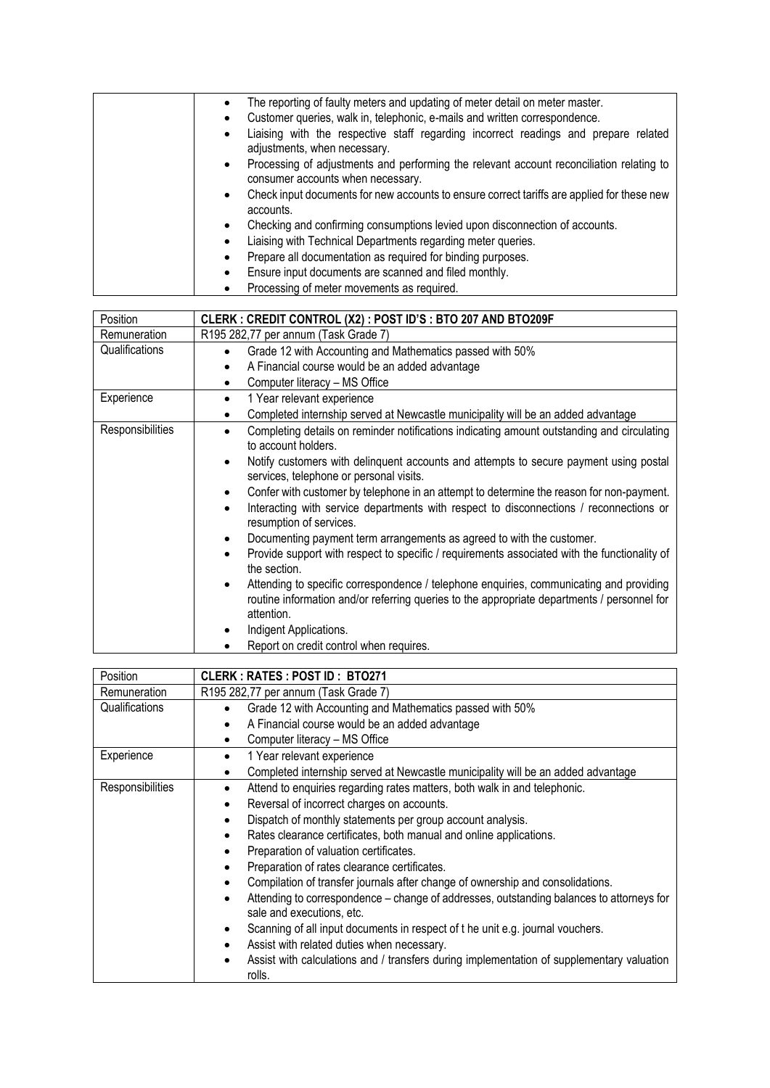| Liaising with Technical Departments regarding meter queries.<br>$\bullet$<br>Prepare all documentation as required for binding purposes.<br>$\bullet$<br>Ensure input documents are scanned and filed monthly.<br>٠<br>Processing of meter movements as required. |
|-------------------------------------------------------------------------------------------------------------------------------------------------------------------------------------------------------------------------------------------------------------------|
|-------------------------------------------------------------------------------------------------------------------------------------------------------------------------------------------------------------------------------------------------------------------|

| Position         | CLERK : CREDIT CONTROL (X2) : POST ID'S : BTO 207 AND BTO209F                                                                                                                                                                   |
|------------------|---------------------------------------------------------------------------------------------------------------------------------------------------------------------------------------------------------------------------------|
| Remuneration     | R195 282,77 per annum (Task Grade 7)                                                                                                                                                                                            |
| Qualifications   | Grade 12 with Accounting and Mathematics passed with 50%<br>٠                                                                                                                                                                   |
|                  | A Financial course would be an added advantage<br>٠                                                                                                                                                                             |
|                  | Computer literacy - MS Office<br>٠                                                                                                                                                                                              |
| Experience       | 1 Year relevant experience<br>٠                                                                                                                                                                                                 |
|                  | Completed internship served at Newcastle municipality will be an added advantage<br>$\bullet$                                                                                                                                   |
| Responsibilities | Completing details on reminder notifications indicating amount outstanding and circulating<br>to account holders.                                                                                                               |
|                  | Notify customers with delinquent accounts and attempts to secure payment using postal<br>٠<br>services, telephone or personal visits.                                                                                           |
|                  | Confer with customer by telephone in an attempt to determine the reason for non-payment.<br>$\bullet$<br>Interacting with service departments with respect to disconnections / reconnections or<br>٠<br>resumption of services. |
|                  | Documenting payment term arrangements as agreed to with the customer.<br>$\bullet$                                                                                                                                              |
|                  | Provide support with respect to specific / requirements associated with the functionality of<br>٠<br>the section.                                                                                                               |
|                  | Attending to specific correspondence / telephone enquiries, communicating and providing<br>٠<br>routine information and/or referring queries to the appropriate departments / personnel for<br>attention.                       |
|                  | Indigent Applications.                                                                                                                                                                                                          |
|                  | Report on credit control when requires.<br>٠                                                                                                                                                                                    |

| Position         | <b>CLERK: RATES: POST ID: BTO271</b>                                                                                  |
|------------------|-----------------------------------------------------------------------------------------------------------------------|
| Remuneration     | R195 282,77 per annum (Task Grade 7)                                                                                  |
| Qualifications   | Grade 12 with Accounting and Mathematics passed with 50%<br>$\bullet$                                                 |
|                  | A Financial course would be an added advantage<br>$\bullet$                                                           |
|                  | Computer literacy - MS Office<br>٠                                                                                    |
| Experience       | 1 Year relevant experience<br>$\bullet$                                                                               |
|                  | Completed internship served at Newcastle municipality will be an added advantage<br>$\bullet$                         |
| Responsibilities | Attend to enquiries regarding rates matters, both walk in and telephonic.<br>$\bullet$                                |
|                  | Reversal of incorrect charges on accounts.<br>$\bullet$                                                               |
|                  | Dispatch of monthly statements per group account analysis.<br>٠                                                       |
|                  | Rates clearance certificates, both manual and online applications.<br>$\bullet$                                       |
|                  | Preparation of valuation certificates.                                                                                |
|                  | Preparation of rates clearance certificates.<br>$\bullet$                                                             |
|                  | Compilation of transfer journals after change of ownership and consolidations.<br>$\bullet$                           |
|                  | Attending to correspondence – change of addresses, outstanding balances to attorneys for<br>sale and executions, etc. |
|                  | Scanning of all input documents in respect of the unit e.g. journal vouchers.<br>$\bullet$                            |
|                  | Assist with related duties when necessary.<br>$\bullet$                                                               |
|                  | Assist with calculations and / transfers during implementation of supplementary valuation<br>rolls.                   |